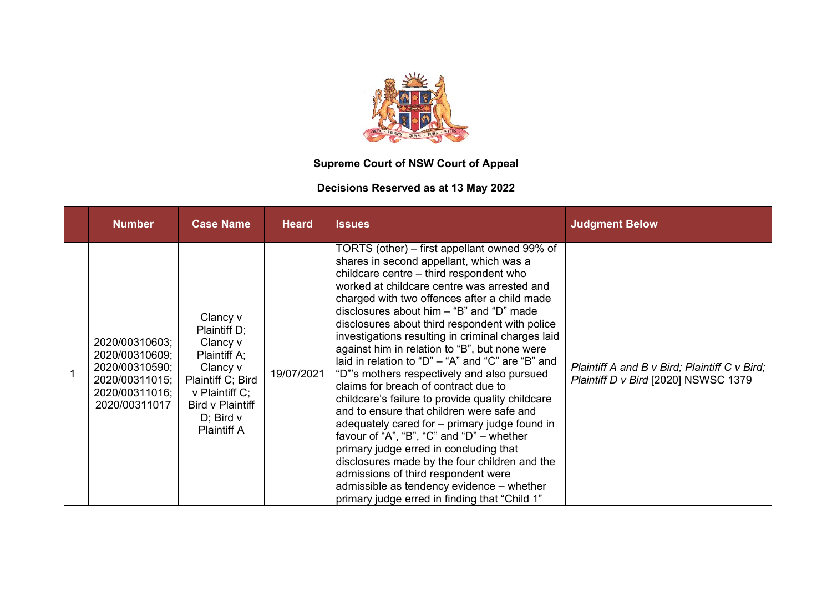

## **Supreme Court of NSW Court of Appeal**

## **Decisions Reserved as at 13 May 2022**

| <b>Number</b>                                                                                           | <b>Case Name</b>                                                                                                                                                    | <b>Heard</b> | <b>Issues</b>                                                                                                                                                                                                                                                                                                                                                                                                                                                                                                                                                                                                                                                                                                                                                                                                                                                                                                                                                                                                          | <b>Judgment Below</b>                                                                 |
|---------------------------------------------------------------------------------------------------------|---------------------------------------------------------------------------------------------------------------------------------------------------------------------|--------------|------------------------------------------------------------------------------------------------------------------------------------------------------------------------------------------------------------------------------------------------------------------------------------------------------------------------------------------------------------------------------------------------------------------------------------------------------------------------------------------------------------------------------------------------------------------------------------------------------------------------------------------------------------------------------------------------------------------------------------------------------------------------------------------------------------------------------------------------------------------------------------------------------------------------------------------------------------------------------------------------------------------------|---------------------------------------------------------------------------------------|
| 2020/00310603;<br>2020/00310609;<br>2020/00310590;<br>2020/00311015;<br>2020/00311016;<br>2020/00311017 | Clancy v<br>Plaintiff D;<br>Clancy v<br>Plaintiff A;<br>Clancy v<br>Plaintiff C; Bird<br>v Plaintiff C;<br>Bird v Plaintiff<br>$D$ ; Bird $v$<br><b>Plaintiff A</b> | 19/07/2021   | TORTS (other) – first appellant owned 99% of<br>shares in second appellant, which was a<br>childcare centre - third respondent who<br>worked at childcare centre was arrested and<br>charged with two offences after a child made<br>disclosures about him $-$ "B" and "D" made<br>disclosures about third respondent with police<br>investigations resulting in criminal charges laid<br>against him in relation to "B", but none were<br>laid in relation to "D" $-$ "A" and "C" are "B" and<br>"D"'s mothers respectively and also pursued<br>claims for breach of contract due to<br>childcare's failure to provide quality childcare<br>and to ensure that children were safe and<br>adequately cared for - primary judge found in<br>favour of "A", "B", "C" and "D" $-$ whether<br>primary judge erred in concluding that<br>disclosures made by the four children and the<br>admissions of third respondent were<br>admissible as tendency evidence – whether<br>primary judge erred in finding that "Child 1" | Plaintiff A and B v Bird; Plaintiff C v Bird;<br>Plaintiff D v Bird [2020] NSWSC 1379 |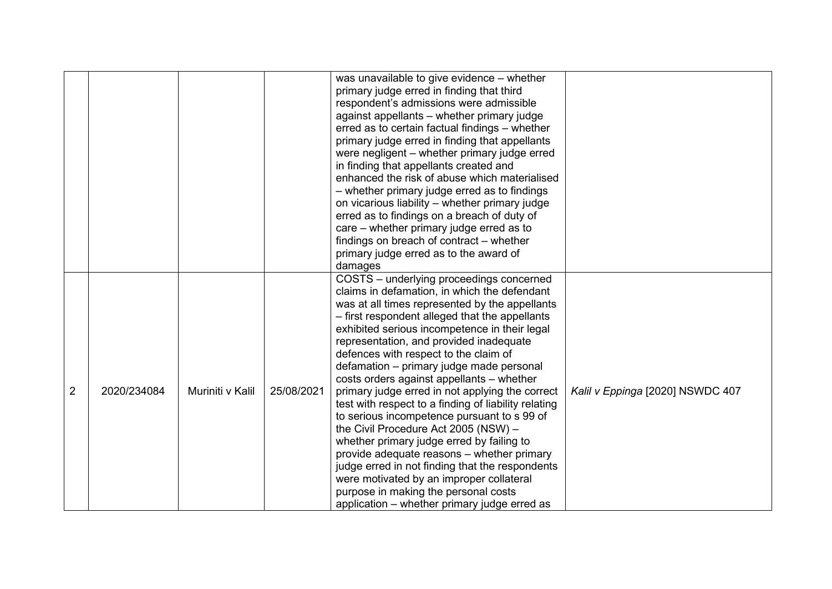|                |             |                  |            | was unavailable to give evidence - whether           |                                  |
|----------------|-------------|------------------|------------|------------------------------------------------------|----------------------------------|
|                |             |                  |            | primary judge erred in finding that third            |                                  |
|                |             |                  |            | respondent's admissions were admissible              |                                  |
|                |             |                  |            | against appellants - whether primary judge           |                                  |
|                |             |                  |            | erred as to certain factual findings - whether       |                                  |
|                |             |                  |            | primary judge erred in finding that appellants       |                                  |
|                |             |                  |            | were negligent – whether primary judge erred         |                                  |
|                |             |                  |            | in finding that appellants created and               |                                  |
|                |             |                  |            | enhanced the risk of abuse which materialised        |                                  |
|                |             |                  |            |                                                      |                                  |
|                |             |                  |            | - whether primary judge erred as to findings         |                                  |
|                |             |                  |            | on vicarious liability - whether primary judge       |                                  |
|                |             |                  |            | erred as to findings on a breach of duty of          |                                  |
|                |             |                  |            | care – whether primary judge erred as to             |                                  |
|                |             |                  |            | findings on breach of contract - whether             |                                  |
|                |             |                  |            | primary judge erred as to the award of               |                                  |
|                |             |                  |            | damages                                              |                                  |
|                |             |                  |            | COSTS - underlying proceedings concerned             |                                  |
|                |             |                  |            | claims in defamation, in which the defendant         |                                  |
|                |             |                  |            | was at all times represented by the appellants       |                                  |
|                |             |                  |            | - first respondent alleged that the appellants       |                                  |
|                |             |                  |            | exhibited serious incompetence in their legal        |                                  |
|                |             |                  |            | representation, and provided inadequate              |                                  |
|                |             |                  |            | defences with respect to the claim of                |                                  |
|                |             |                  |            | defamation - primary judge made personal             |                                  |
|                |             |                  |            | costs orders against appellants - whether            |                                  |
| $\overline{2}$ | 2020/234084 | Muriniti v Kalil | 25/08/2021 | primary judge erred in not applying the correct      | Kalil v Eppinga [2020] NSWDC 407 |
|                |             |                  |            | test with respect to a finding of liability relating |                                  |
|                |             |                  |            | to serious incompetence pursuant to s 99 of          |                                  |
|                |             |                  |            | the Civil Procedure Act 2005 (NSW) -                 |                                  |
|                |             |                  |            | whether primary judge erred by failing to            |                                  |
|                |             |                  |            | provide adequate reasons - whether primary           |                                  |
|                |             |                  |            | judge erred in not finding that the respondents      |                                  |
|                |             |                  |            | were motivated by an improper collateral             |                                  |
|                |             |                  |            | purpose in making the personal costs                 |                                  |
|                |             |                  |            | application – whether primary judge erred as         |                                  |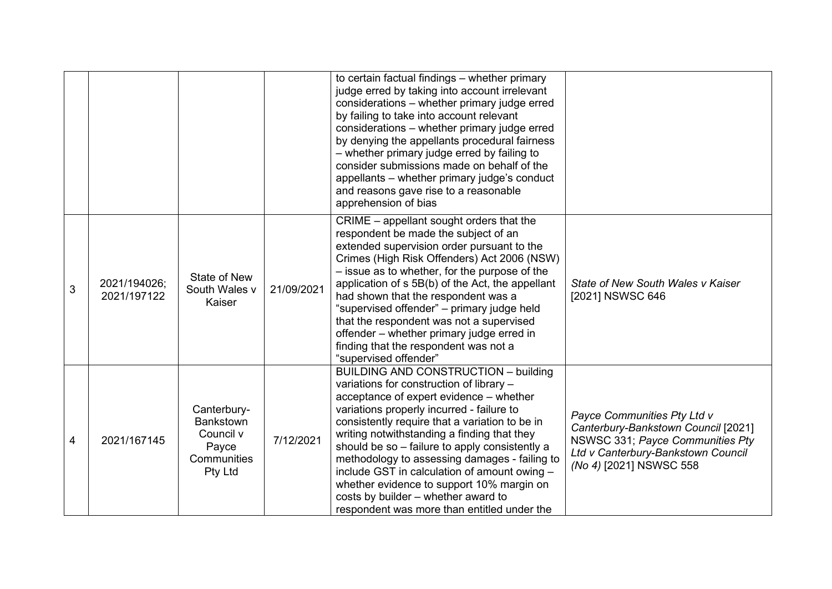|   |                             |                                                                                        |            | to certain factual findings - whether primary<br>judge erred by taking into account irrelevant<br>considerations - whether primary judge erred<br>by failing to take into account relevant<br>considerations - whether primary judge erred<br>by denying the appellants procedural fairness<br>- whether primary judge erred by failing to<br>consider submissions made on behalf of the<br>appellants - whether primary judge's conduct<br>and reasons gave rise to a reasonable<br>apprehension of bias                                                              |                                                                                                                                                                         |
|---|-----------------------------|----------------------------------------------------------------------------------------|------------|------------------------------------------------------------------------------------------------------------------------------------------------------------------------------------------------------------------------------------------------------------------------------------------------------------------------------------------------------------------------------------------------------------------------------------------------------------------------------------------------------------------------------------------------------------------------|-------------------------------------------------------------------------------------------------------------------------------------------------------------------------|
| 3 | 2021/194026;<br>2021/197122 | <b>State of New</b><br>South Wales v<br>Kaiser                                         | 21/09/2021 | CRIME – appellant sought orders that the<br>respondent be made the subject of an<br>extended supervision order pursuant to the<br>Crimes (High Risk Offenders) Act 2006 (NSW)<br>- issue as to whether, for the purpose of the<br>application of s 5B(b) of the Act, the appellant<br>had shown that the respondent was a<br>"supervised offender" - primary judge held<br>that the respondent was not a supervised<br>offender – whether primary judge erred in<br>finding that the respondent was not a<br>"supervised offender"                                     | State of New South Wales v Kaiser<br>[2021] NSWSC 646                                                                                                                   |
| 4 | 2021/167145                 | Canterbury-<br><b>Bankstown</b><br>Council v<br>Payce<br>Communities<br><b>Pty Ltd</b> | 7/12/2021  | <b>BUILDING AND CONSTRUCTION - building</b><br>variations for construction of library -<br>acceptance of expert evidence - whether<br>variations properly incurred - failure to<br>consistently require that a variation to be in<br>writing notwithstanding a finding that they<br>should be so - failure to apply consistently a<br>methodology to assessing damages - failing to<br>include GST in calculation of amount owing -<br>whether evidence to support 10% margin on<br>costs by builder - whether award to<br>respondent was more than entitled under the | Payce Communities Pty Ltd v<br>Canterbury-Bankstown Council [2021]<br>NSWSC 331; Payce Communities Pty<br>Ltd v Canterbury-Bankstown Council<br>(No 4) [2021] NSWSC 558 |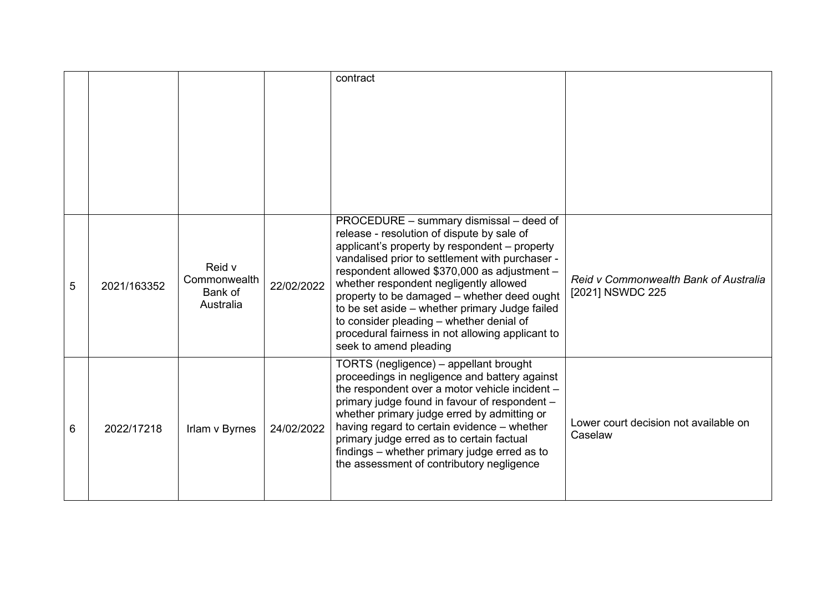|   |             |                                                |            | contract                                                                                                                                                                                                                                                                                                                                                                                                                                                                                                       |                                                           |
|---|-------------|------------------------------------------------|------------|----------------------------------------------------------------------------------------------------------------------------------------------------------------------------------------------------------------------------------------------------------------------------------------------------------------------------------------------------------------------------------------------------------------------------------------------------------------------------------------------------------------|-----------------------------------------------------------|
| 5 | 2021/163352 | Reid v<br>Commonwealth<br>Bank of<br>Australia | 22/02/2022 | PROCEDURE – summary dismissal – deed of<br>release - resolution of dispute by sale of<br>applicant's property by respondent – property<br>vandalised prior to settlement with purchaser -<br>respondent allowed \$370,000 as adjustment -<br>whether respondent negligently allowed<br>property to be damaged - whether deed ought<br>to be set aside - whether primary Judge failed<br>to consider pleading - whether denial of<br>procedural fairness in not allowing applicant to<br>seek to amend pleading | Reid v Commonwealth Bank of Australia<br>[2021] NSWDC 225 |
| 6 | 2022/17218  | Irlam v Byrnes                                 | 24/02/2022 | TORTS (negligence) – appellant brought<br>proceedings in negligence and battery against<br>the respondent over a motor vehicle incident -<br>primary judge found in favour of respondent -<br>whether primary judge erred by admitting or<br>having regard to certain evidence - whether<br>primary judge erred as to certain factual<br>findings – whether primary judge erred as to<br>the assessment of contributory negligence                                                                             | Lower court decision not available on<br>Caselaw          |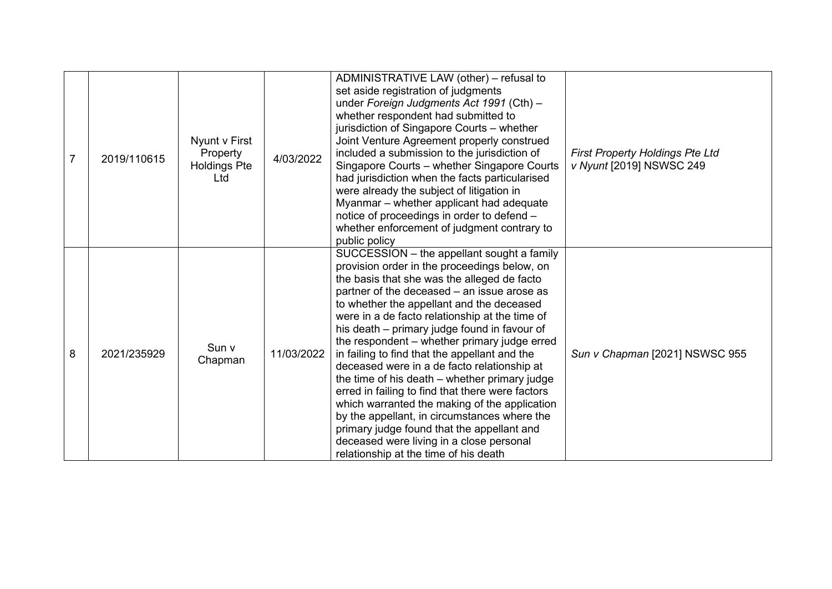| 7 | 2019/110615 | Nyunt v First<br>Property<br><b>Holdings Pte</b><br>Ltd | 4/03/2022  | ADMINISTRATIVE LAW (other) - refusal to<br>set aside registration of judgments<br>under Foreign Judgments Act 1991 (Cth) -<br>whether respondent had submitted to<br>jurisdiction of Singapore Courts - whether<br>Joint Venture Agreement properly construed<br>included a submission to the jurisdiction of<br>Singapore Courts - whether Singapore Courts<br>had jurisdiction when the facts particularised<br>were already the subject of litigation in<br>Myanmar - whether applicant had adequate<br>notice of proceedings in order to defend -<br>whether enforcement of judgment contrary to<br>public policy                                                                                                                                                                                                            | <b>First Property Holdings Pte Ltd</b><br>v Nyunt [2019] NSWSC 249 |
|---|-------------|---------------------------------------------------------|------------|----------------------------------------------------------------------------------------------------------------------------------------------------------------------------------------------------------------------------------------------------------------------------------------------------------------------------------------------------------------------------------------------------------------------------------------------------------------------------------------------------------------------------------------------------------------------------------------------------------------------------------------------------------------------------------------------------------------------------------------------------------------------------------------------------------------------------------|--------------------------------------------------------------------|
| 8 | 2021/235929 | Sun v<br>Chapman                                        | 11/03/2022 | SUCCESSION – the appellant sought a family<br>provision order in the proceedings below, on<br>the basis that she was the alleged de facto<br>partner of the deceased - an issue arose as<br>to whether the appellant and the deceased<br>were in a de facto relationship at the time of<br>his death – primary judge found in favour of<br>the respondent - whether primary judge erred<br>in failing to find that the appellant and the<br>deceased were in a de facto relationship at<br>the time of his death – whether primary judge<br>erred in failing to find that there were factors<br>which warranted the making of the application<br>by the appellant, in circumstances where the<br>primary judge found that the appellant and<br>deceased were living in a close personal<br>relationship at the time of his death | Sun v Chapman [2021] NSWSC 955                                     |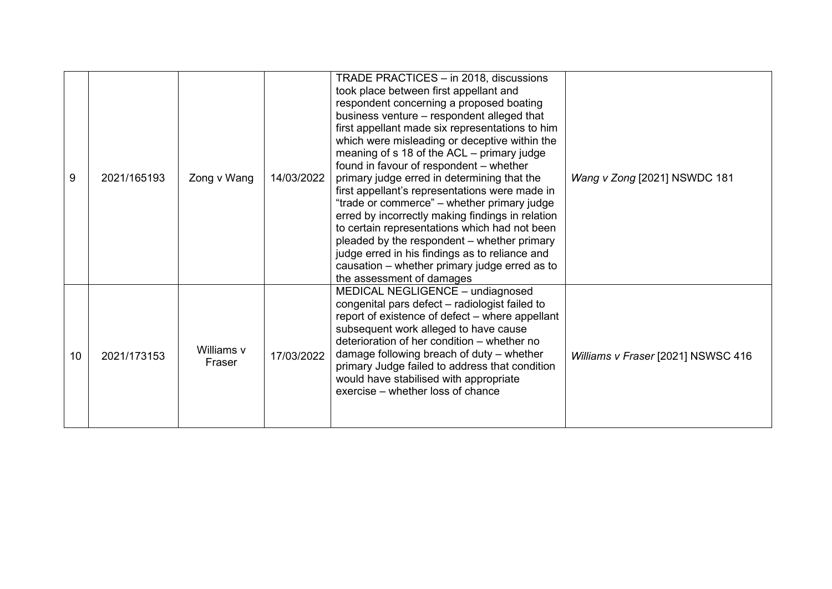| 9               | 2021/165193 | Zong v Wang          | 14/03/2022 | TRADE PRACTICES - in 2018, discussions<br>took place between first appellant and<br>respondent concerning a proposed boating<br>business venture - respondent alleged that<br>first appellant made six representations to him<br>which were misleading or deceptive within the<br>meaning of s 18 of the ACL - primary judge<br>found in favour of respondent - whether<br>primary judge erred in determining that the<br>first appellant's representations were made in<br>"trade or commerce" – whether primary judge<br>erred by incorrectly making findings in relation<br>to certain representations which had not been<br>pleaded by the respondent – whether primary<br>judge erred in his findings as to reliance and<br>causation - whether primary judge erred as to<br>the assessment of damages | Wang v Zong [2021] NSWDC 181       |
|-----------------|-------------|----------------------|------------|-------------------------------------------------------------------------------------------------------------------------------------------------------------------------------------------------------------------------------------------------------------------------------------------------------------------------------------------------------------------------------------------------------------------------------------------------------------------------------------------------------------------------------------------------------------------------------------------------------------------------------------------------------------------------------------------------------------------------------------------------------------------------------------------------------------|------------------------------------|
| 10 <sup>°</sup> | 2021/173153 | Williams v<br>Fraser | 17/03/2022 | MEDICAL NEGLIGENCE - undiagnosed<br>congenital pars defect - radiologist failed to<br>report of existence of defect – where appellant<br>subsequent work alleged to have cause<br>deterioration of her condition - whether no<br>damage following breach of duty - whether<br>primary Judge failed to address that condition<br>would have stabilised with appropriate<br>exercise – whether loss of chance                                                                                                                                                                                                                                                                                                                                                                                                 | Williams v Fraser [2021] NSWSC 416 |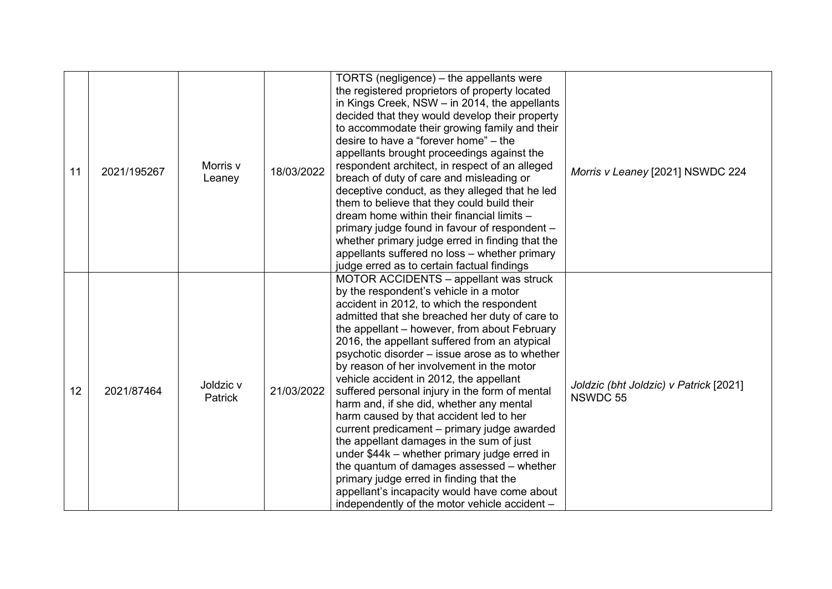| 11 | 2021/195267 | Morris v<br>Leaney   | 18/03/2022 | TORTS (negligence) – the appellants were<br>the registered proprietors of property located<br>in Kings Creek, NSW - in 2014, the appellants<br>decided that they would develop their property<br>to accommodate their growing family and their<br>desire to have a "forever home" - the<br>appellants brought proceedings against the<br>respondent architect, in respect of an alleged<br>breach of duty of care and misleading or<br>deceptive conduct, as they alleged that he led<br>them to believe that they could build their<br>dream home within their financial limits -<br>primary judge found in favour of respondent -<br>whether primary judge erred in finding that the<br>appellants suffered no loss - whether primary<br>judge erred as to certain factual findings                                                                                                                   | Morris v Leaney [2021] NSWDC 224                   |
|----|-------------|----------------------|------------|---------------------------------------------------------------------------------------------------------------------------------------------------------------------------------------------------------------------------------------------------------------------------------------------------------------------------------------------------------------------------------------------------------------------------------------------------------------------------------------------------------------------------------------------------------------------------------------------------------------------------------------------------------------------------------------------------------------------------------------------------------------------------------------------------------------------------------------------------------------------------------------------------------|----------------------------------------------------|
| 12 | 2021/87464  | Joldzic v<br>Patrick | 21/03/2022 | MOTOR ACCIDENTS - appellant was struck<br>by the respondent's vehicle in a motor<br>accident in 2012, to which the respondent<br>admitted that she breached her duty of care to<br>the appellant - however, from about February<br>2016, the appellant suffered from an atypical<br>psychotic disorder – issue arose as to whether<br>by reason of her involvement in the motor<br>vehicle accident in 2012, the appellant<br>suffered personal injury in the form of mental<br>harm and, if she did, whether any mental<br>harm caused by that accident led to her<br>current predicament - primary judge awarded<br>the appellant damages in the sum of just<br>under \$44k – whether primary judge erred in<br>the quantum of damages assessed – whether<br>primary judge erred in finding that the<br>appellant's incapacity would have come about<br>independently of the motor vehicle accident - | Joldzic (bht Joldzic) v Patrick [2021]<br>NSWDC 55 |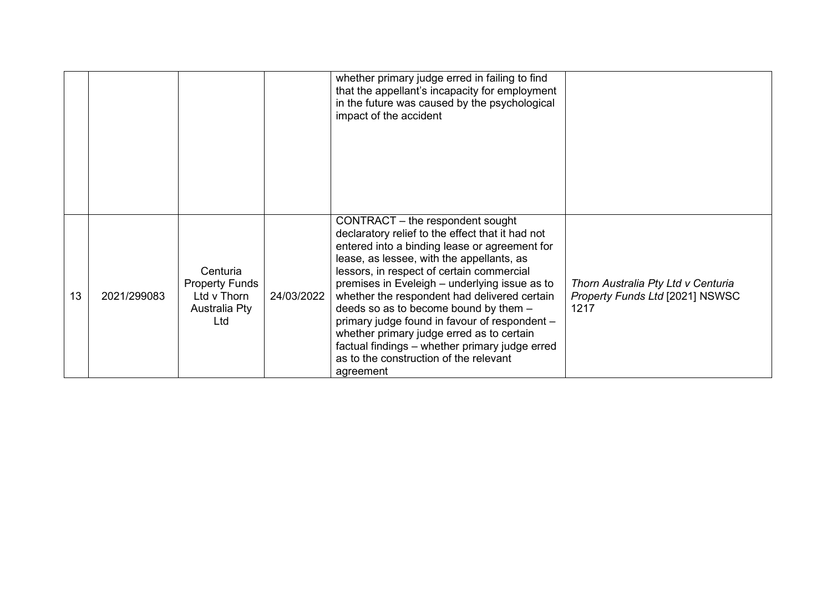|    |             |                                                                          |            | whether primary judge erred in failing to find<br>that the appellant's incapacity for employment<br>in the future was caused by the psychological<br>impact of the accident                                                                                                                                                                                                                                                                                                                                                                                                      |                                                                                      |
|----|-------------|--------------------------------------------------------------------------|------------|----------------------------------------------------------------------------------------------------------------------------------------------------------------------------------------------------------------------------------------------------------------------------------------------------------------------------------------------------------------------------------------------------------------------------------------------------------------------------------------------------------------------------------------------------------------------------------|--------------------------------------------------------------------------------------|
| 13 | 2021/299083 | Centuria<br><b>Property Funds</b><br>Ltd v Thorn<br>Australia Pty<br>Ltd | 24/03/2022 | CONTRACT – the respondent sought<br>declaratory relief to the effect that it had not<br>entered into a binding lease or agreement for<br>lease, as lessee, with the appellants, as<br>lessors, in respect of certain commercial<br>premises in Eveleigh - underlying issue as to<br>whether the respondent had delivered certain<br>deeds so as to become bound by them -<br>primary judge found in favour of respondent -<br>whether primary judge erred as to certain<br>factual findings - whether primary judge erred<br>as to the construction of the relevant<br>agreement | Thorn Australia Pty Ltd v Centuria<br><b>Property Funds Ltd [2021] NSWSC</b><br>1217 |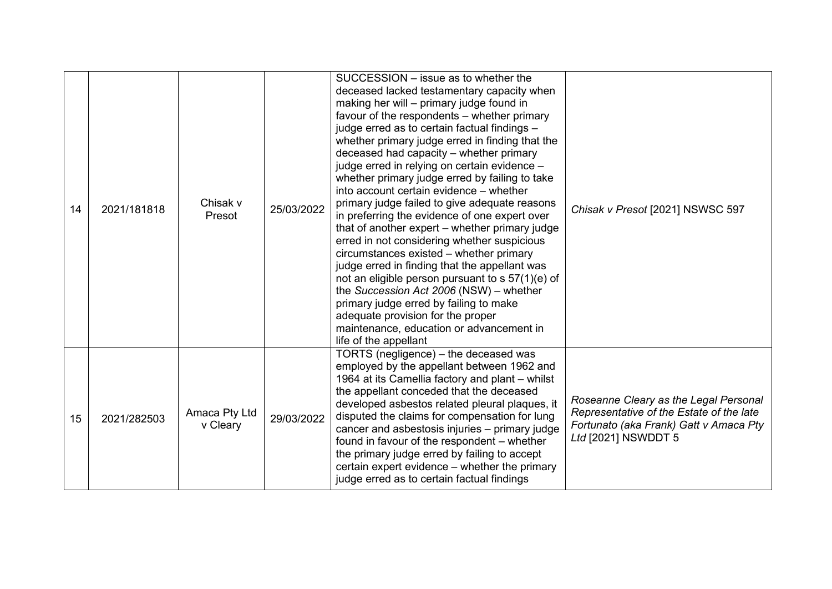| 14 | 2021/181818 | Chisak v<br>Presot        | 25/03/2022 | SUCCESSION – issue as to whether the<br>deceased lacked testamentary capacity when<br>making her will – primary judge found in<br>favour of the respondents – whether primary<br>judge erred as to certain factual findings -<br>whether primary judge erred in finding that the<br>deceased had capacity - whether primary<br>judge erred in relying on certain evidence -<br>whether primary judge erred by failing to take<br>into account certain evidence - whether<br>primary judge failed to give adequate reasons<br>in preferring the evidence of one expert over<br>that of another expert – whether primary judge<br>erred in not considering whether suspicious<br>circumstances existed - whether primary<br>judge erred in finding that the appellant was<br>not an eligible person pursuant to s 57(1)(e) of<br>the Succession Act 2006 (NSW) - whether<br>primary judge erred by failing to make<br>adequate provision for the proper<br>maintenance, education or advancement in<br>life of the appellant | Chisak v Presot [2021] NSWSC 597                                                                                                                   |
|----|-------------|---------------------------|------------|----------------------------------------------------------------------------------------------------------------------------------------------------------------------------------------------------------------------------------------------------------------------------------------------------------------------------------------------------------------------------------------------------------------------------------------------------------------------------------------------------------------------------------------------------------------------------------------------------------------------------------------------------------------------------------------------------------------------------------------------------------------------------------------------------------------------------------------------------------------------------------------------------------------------------------------------------------------------------------------------------------------------------|----------------------------------------------------------------------------------------------------------------------------------------------------|
| 15 | 2021/282503 | Amaca Pty Ltd<br>v Cleary | 29/03/2022 | TORTS (negligence) – the deceased was<br>employed by the appellant between 1962 and<br>1964 at its Camellia factory and plant – whilst<br>the appellant conceded that the deceased<br>developed asbestos related pleural plaques, it<br>disputed the claims for compensation for lung<br>cancer and asbestosis injuries - primary judge<br>found in favour of the respondent – whether<br>the primary judge erred by failing to accept<br>certain expert evidence - whether the primary<br>judge erred as to certain factual findings                                                                                                                                                                                                                                                                                                                                                                                                                                                                                      | Roseanne Cleary as the Legal Personal<br>Representative of the Estate of the late<br>Fortunato (aka Frank) Gatt v Amaca Pty<br>Ltd [2021] NSWDDT 5 |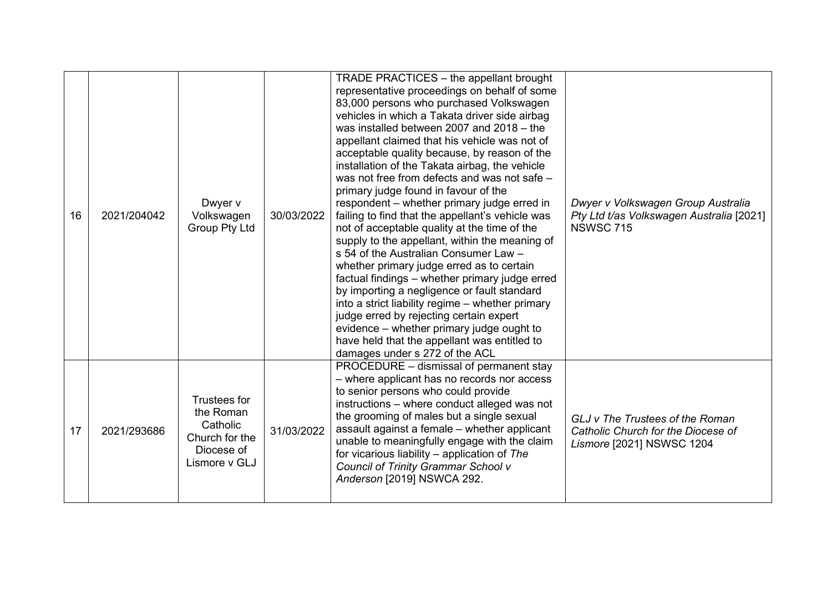| 16 | 2021/204042 | Dwyer v<br>Volkswagen<br><b>Group Pty Ltd</b>                                                 | 30/03/2022 | TRADE PRACTICES - the appellant brought<br>representative proceedings on behalf of some<br>83,000 persons who purchased Volkswagen<br>vehicles in which a Takata driver side airbag<br>was installed between 2007 and 2018 - the<br>appellant claimed that his vehicle was not of<br>acceptable quality because, by reason of the<br>installation of the Takata airbag, the vehicle<br>was not free from defects and was not safe -<br>primary judge found in favour of the<br>respondent – whether primary judge erred in<br>failing to find that the appellant's vehicle was<br>not of acceptable quality at the time of the<br>supply to the appellant, within the meaning of<br>s 54 of the Australian Consumer Law -<br>whether primary judge erred as to certain<br>factual findings - whether primary judge erred<br>by importing a negligence or fault standard<br>into a strict liability regime – whether primary<br>judge erred by rejecting certain expert<br>evidence – whether primary judge ought to<br>have held that the appellant was entitled to<br>damages under s 272 of the ACL | Dwyer v Volkswagen Group Australia<br>Pty Ltd t/as Volkswagen Australia [2021]<br><b>NSWSC 715</b> |
|----|-------------|-----------------------------------------------------------------------------------------------|------------|-------------------------------------------------------------------------------------------------------------------------------------------------------------------------------------------------------------------------------------------------------------------------------------------------------------------------------------------------------------------------------------------------------------------------------------------------------------------------------------------------------------------------------------------------------------------------------------------------------------------------------------------------------------------------------------------------------------------------------------------------------------------------------------------------------------------------------------------------------------------------------------------------------------------------------------------------------------------------------------------------------------------------------------------------------------------------------------------------------|----------------------------------------------------------------------------------------------------|
| 17 | 2021/293686 | <b>Trustees for</b><br>the Roman<br>Catholic<br>Church for the<br>Diocese of<br>Lismore v GLJ | 31/03/2022 | PROCEDURE – dismissal of permanent stay<br>- where applicant has no records nor access<br>to senior persons who could provide<br>instructions - where conduct alleged was not<br>the grooming of males but a single sexual<br>assault against a female - whether applicant<br>unable to meaningfully engage with the claim<br>for vicarious liability $-$ application of The<br>Council of Trinity Grammar School v<br>Anderson [2019] NSWCA 292.                                                                                                                                                                                                                                                                                                                                                                                                                                                                                                                                                                                                                                                     | GLJ v The Trustees of the Roman<br>Catholic Church for the Diocese of<br>Lismore [2021] NSWSC 1204 |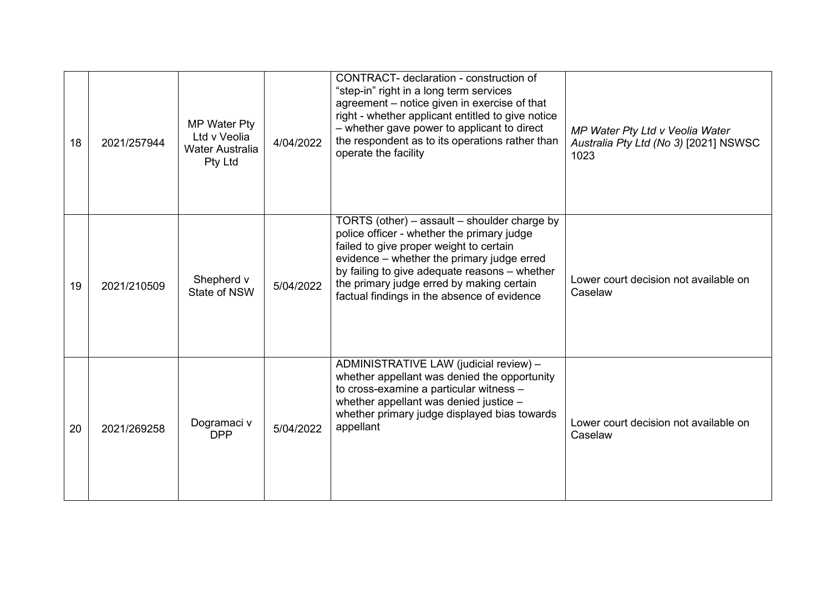| 18 | 2021/257944 | MP Water Pty<br>Ltd v Veolia<br>Water Australia<br>Pty Ltd | 4/04/2022 | CONTRACT- declaration - construction of<br>"step-in" right in a long term services<br>agreement - notice given in exercise of that<br>right - whether applicant entitled to give notice<br>- whether gave power to applicant to direct<br>the respondent as to its operations rather than<br>operate the facility                | MP Water Pty Ltd v Veolia Water<br>Australia Pty Ltd (No 3) [2021] NSWSC<br>1023 |
|----|-------------|------------------------------------------------------------|-----------|----------------------------------------------------------------------------------------------------------------------------------------------------------------------------------------------------------------------------------------------------------------------------------------------------------------------------------|----------------------------------------------------------------------------------|
| 19 | 2021/210509 | Shepherd v<br>State of NSW                                 | 5/04/2022 | TORTS (other) – assault – shoulder charge by<br>police officer - whether the primary judge<br>failed to give proper weight to certain<br>evidence - whether the primary judge erred<br>by failing to give adequate reasons - whether<br>the primary judge erred by making certain<br>factual findings in the absence of evidence | Lower court decision not available on<br>Caselaw                                 |
| 20 | 2021/269258 | Dogramaci v<br><b>DPP</b>                                  | 5/04/2022 | ADMINISTRATIVE LAW (judicial review) -<br>whether appellant was denied the opportunity<br>to cross-examine a particular witness -<br>whether appellant was denied justice -<br>whether primary judge displayed bias towards<br>appellant                                                                                         | Lower court decision not available on<br>Caselaw                                 |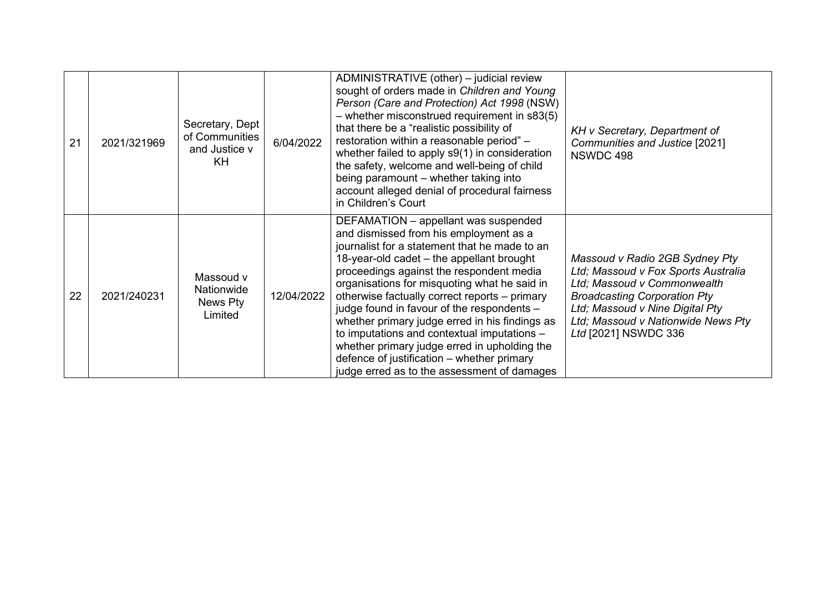| 21 | 2021/321969 | Secretary, Dept<br>of Communities<br>and Justice v<br>KH | 6/04/2022  | ADMINISTRATIVE (other) - judicial review<br>sought of orders made in Children and Young<br>Person (Care and Protection) Act 1998 (NSW)<br>- whether misconstrued requirement in s83(5)<br>that there be a "realistic possibility of<br>restoration within a reasonable period" -<br>whether failed to apply s9(1) in consideration<br>the safety, welcome and well-being of child<br>being paramount - whether taking into<br>account alleged denial of procedural fairness<br>in Children's Court                                                                                                                    | KH v Secretary, Department of<br>Communities and Justice [2021]<br>NSWDC 498                                                                                                                                                                 |
|----|-------------|----------------------------------------------------------|------------|-----------------------------------------------------------------------------------------------------------------------------------------------------------------------------------------------------------------------------------------------------------------------------------------------------------------------------------------------------------------------------------------------------------------------------------------------------------------------------------------------------------------------------------------------------------------------------------------------------------------------|----------------------------------------------------------------------------------------------------------------------------------------------------------------------------------------------------------------------------------------------|
| 22 | 2021/240231 | Massoud v<br>Nationwide<br>News Pty<br>Limited           | 12/04/2022 | DEFAMATION - appellant was suspended<br>and dismissed from his employment as a<br>journalist for a statement that he made to an<br>18-year-old cadet - the appellant brought<br>proceedings against the respondent media<br>organisations for misquoting what he said in<br>otherwise factually correct reports - primary<br>judge found in favour of the respondents -<br>whether primary judge erred in his findings as<br>to imputations and contextual imputations -<br>whether primary judge erred in upholding the<br>defence of justification - whether primary<br>judge erred as to the assessment of damages | Massoud v Radio 2GB Sydney Pty<br>Ltd; Massoud v Fox Sports Australia<br>Ltd; Massoud v Commonwealth<br><b>Broadcasting Corporation Pty</b><br>Ltd; Massoud v Nine Digital Pty<br>Ltd; Massoud v Nationwide News Pty<br>Ltd [2021] NSWDC 336 |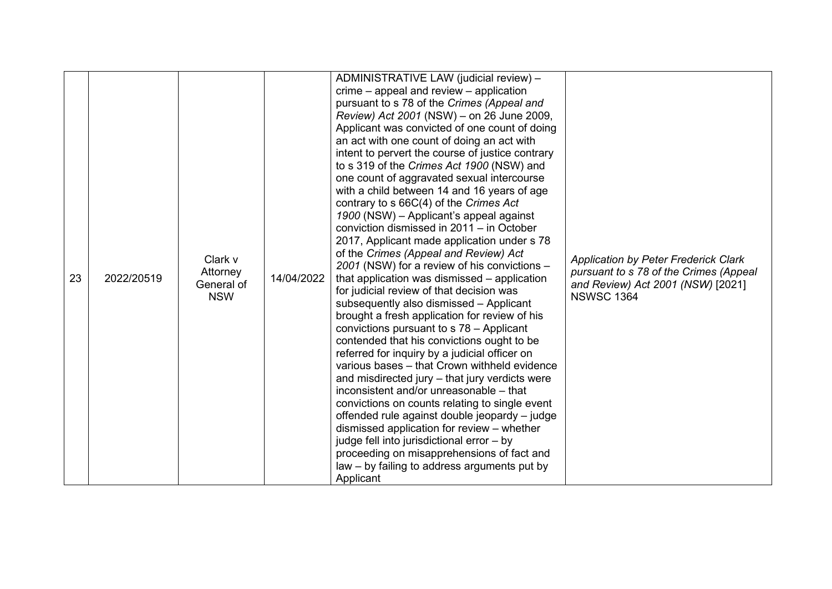| 23 | 2022/20519 | Clark v<br>Attorney<br>General of<br><b>NSW</b> | 14/04/2022 | ADMINISTRATIVE LAW (judicial review) -<br>$r = -$ appeal and review $-$ application<br>pursuant to s 78 of the Crimes (Appeal and<br>Review) Act 2001 (NSW) – on 26 June 2009,<br>Applicant was convicted of one count of doing<br>an act with one count of doing an act with<br>intent to pervert the course of justice contrary<br>to s 319 of the Crimes Act 1900 (NSW) and<br>one count of aggravated sexual intercourse<br>with a child between 14 and 16 years of age<br>contrary to s 66C(4) of the Crimes Act<br>1900 (NSW) - Applicant's appeal against<br>conviction dismissed in 2011 - in October<br>2017, Applicant made application under s 78<br>of the Crimes (Appeal and Review) Act<br>2001 (NSW) for a review of his convictions -<br>that application was dismissed – application<br>for judicial review of that decision was<br>subsequently also dismissed - Applicant<br>brought a fresh application for review of his<br>convictions pursuant to s 78 - Applicant<br>contended that his convictions ought to be<br>referred for inquiry by a judicial officer on<br>various bases - that Crown withheld evidence<br>and misdirected jury - that jury verdicts were<br>inconsistent and/or unreasonable – that<br>convictions on counts relating to single event<br>offended rule against double jeopardy - judge<br>dismissed application for review - whether<br>judge fell into jurisdictional error - by | <b>Application by Peter Frederick Clark</b><br>pursuant to s 78 of the Crimes (Appeal<br>and Review) Act 2001 (NSW) [2021]<br><b>NSWSC 1364</b> |
|----|------------|-------------------------------------------------|------------|-------------------------------------------------------------------------------------------------------------------------------------------------------------------------------------------------------------------------------------------------------------------------------------------------------------------------------------------------------------------------------------------------------------------------------------------------------------------------------------------------------------------------------------------------------------------------------------------------------------------------------------------------------------------------------------------------------------------------------------------------------------------------------------------------------------------------------------------------------------------------------------------------------------------------------------------------------------------------------------------------------------------------------------------------------------------------------------------------------------------------------------------------------------------------------------------------------------------------------------------------------------------------------------------------------------------------------------------------------------------------------------------------------------------------------------|-------------------------------------------------------------------------------------------------------------------------------------------------|
|    |            |                                                 |            | proceeding on misapprehensions of fact and<br>law – by failing to address arguments put by                                                                                                                                                                                                                                                                                                                                                                                                                                                                                                                                                                                                                                                                                                                                                                                                                                                                                                                                                                                                                                                                                                                                                                                                                                                                                                                                          |                                                                                                                                                 |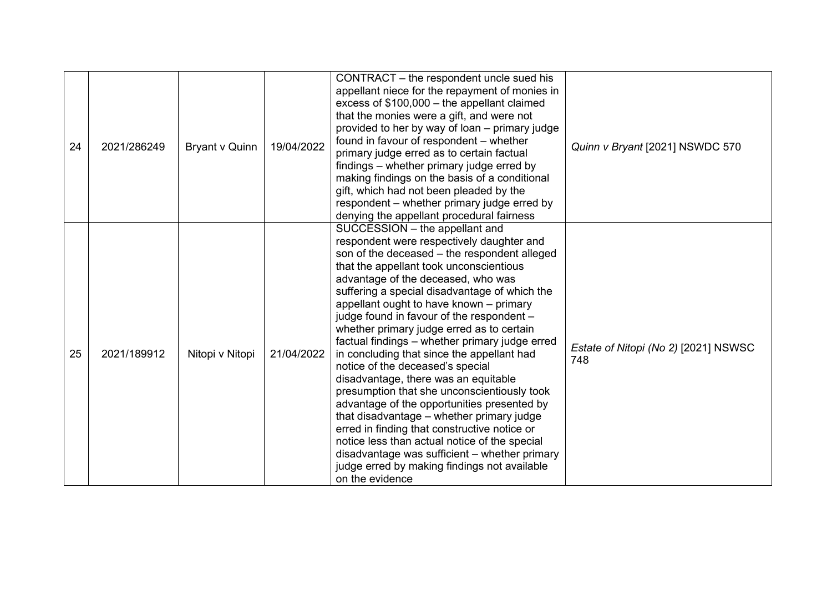| 24 | 2021/286249 | Bryant v Quinn  | 19/04/2022 | CONTRACT – the respondent uncle sued his<br>appellant niece for the repayment of monies in<br>excess of \$100,000 - the appellant claimed<br>that the monies were a gift, and were not<br>provided to her by way of loan – primary judge<br>found in favour of respondent – whether<br>primary judge erred as to certain factual<br>findings – whether primary judge erred by<br>making findings on the basis of a conditional<br>gift, which had not been pleaded by the<br>respondent - whether primary judge erred by<br>denying the appellant procedural fairness                                                                                                                                                                                                                                                                                                                                                                          | Quinn v Bryant [2021] NSWDC 570             |
|----|-------------|-----------------|------------|------------------------------------------------------------------------------------------------------------------------------------------------------------------------------------------------------------------------------------------------------------------------------------------------------------------------------------------------------------------------------------------------------------------------------------------------------------------------------------------------------------------------------------------------------------------------------------------------------------------------------------------------------------------------------------------------------------------------------------------------------------------------------------------------------------------------------------------------------------------------------------------------------------------------------------------------|---------------------------------------------|
| 25 | 2021/189912 | Nitopi v Nitopi | 21/04/2022 | SUCCESSION - the appellant and<br>respondent were respectively daughter and<br>son of the deceased - the respondent alleged<br>that the appellant took unconscientious<br>advantage of the deceased, who was<br>suffering a special disadvantage of which the<br>appellant ought to have known - primary<br>judge found in favour of the respondent -<br>whether primary judge erred as to certain<br>factual findings - whether primary judge erred<br>in concluding that since the appellant had<br>notice of the deceased's special<br>disadvantage, there was an equitable<br>presumption that she unconscientiously took<br>advantage of the opportunities presented by<br>that disadvantage - whether primary judge<br>erred in finding that constructive notice or<br>notice less than actual notice of the special<br>disadvantage was sufficient - whether primary<br>judge erred by making findings not available<br>on the evidence | Estate of Nitopi (No 2) [2021] NSWSC<br>748 |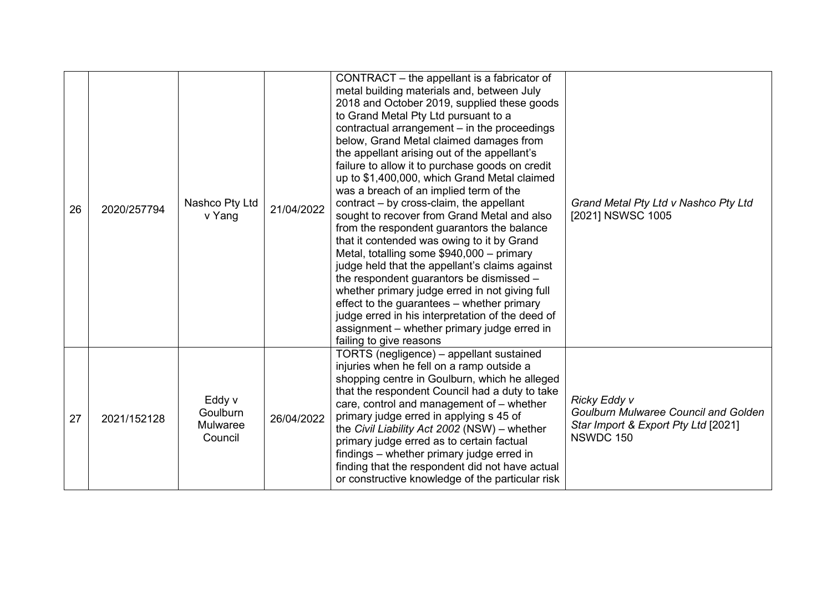| 26 | 2020/257794 | Nashco Pty Ltd<br>v Yang                         | 21/04/2022 | CONTRACT – the appellant is a fabricator of<br>metal building materials and, between July<br>2018 and October 2019, supplied these goods<br>to Grand Metal Pty Ltd pursuant to a<br>contractual arrangement - in the proceedings<br>below, Grand Metal claimed damages from<br>the appellant arising out of the appellant's<br>failure to allow it to purchase goods on credit<br>up to \$1,400,000, which Grand Metal claimed<br>was a breach of an implied term of the<br>contract – by cross-claim, the appellant<br>sought to recover from Grand Metal and also<br>from the respondent guarantors the balance<br>that it contended was owing to it by Grand<br>Metal, totalling some \$940,000 - primary<br>judge held that the appellant's claims against<br>the respondent guarantors be dismissed -<br>whether primary judge erred in not giving full<br>effect to the guarantees – whether primary<br>judge erred in his interpretation of the deed of<br>assignment – whether primary judge erred in<br>failing to give reasons | Grand Metal Pty Ltd v Nashco Pty Ltd<br>[2021] NSWSC 1005                                                       |
|----|-------------|--------------------------------------------------|------------|------------------------------------------------------------------------------------------------------------------------------------------------------------------------------------------------------------------------------------------------------------------------------------------------------------------------------------------------------------------------------------------------------------------------------------------------------------------------------------------------------------------------------------------------------------------------------------------------------------------------------------------------------------------------------------------------------------------------------------------------------------------------------------------------------------------------------------------------------------------------------------------------------------------------------------------------------------------------------------------------------------------------------------------|-----------------------------------------------------------------------------------------------------------------|
| 27 | 2021/152128 | Eddy v<br>Goulburn<br><b>Mulwaree</b><br>Council | 26/04/2022 | TORTS (negligence) - appellant sustained<br>injuries when he fell on a ramp outside a<br>shopping centre in Goulburn, which he alleged<br>that the respondent Council had a duty to take<br>care, control and management of - whether<br>primary judge erred in applying s 45 of<br>the Civil Liability Act 2002 (NSW) - whether<br>primary judge erred as to certain factual<br>findings – whether primary judge erred in<br>finding that the respondent did not have actual<br>or constructive knowledge of the particular risk                                                                                                                                                                                                                                                                                                                                                                                                                                                                                                        | Ricky Eddy v<br><b>Goulburn Mulwaree Council and Golden</b><br>Star Import & Export Pty Ltd [2021]<br>NSWDC 150 |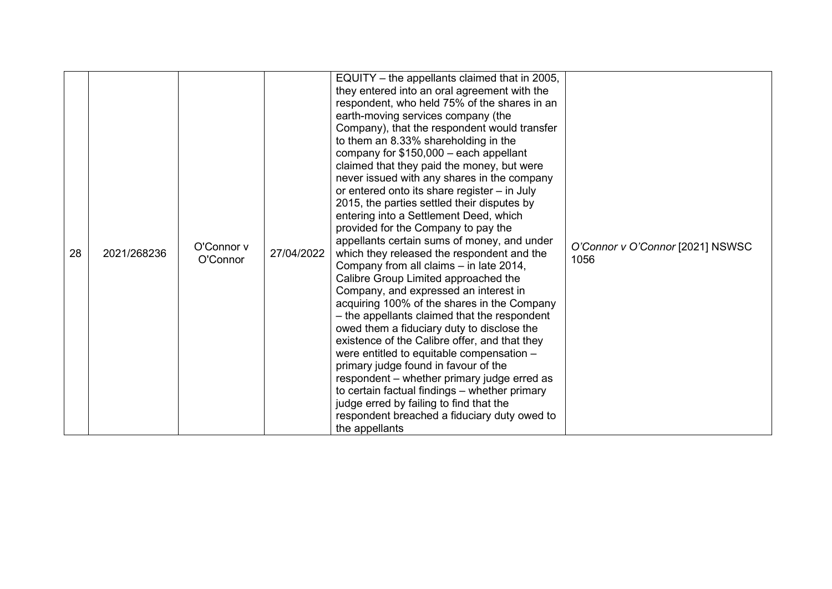| 28 | 2021/268236 | O'Connor y<br>O'Connor | 27/04/2022 | EQUITY – the appellants claimed that in 2005,<br>they entered into an oral agreement with the<br>respondent, who held 75% of the shares in an<br>earth-moving services company (the<br>Company), that the respondent would transfer<br>to them an 8.33% shareholding in the<br>company for $$150,000 - each appendix$<br>claimed that they paid the money, but were<br>never issued with any shares in the company<br>or entered onto its share register – in July<br>2015, the parties settled their disputes by<br>entering into a Settlement Deed, which<br>provided for the Company to pay the<br>appellants certain sums of money, and under<br>which they released the respondent and the<br>Company from all claims - in late 2014,<br>Calibre Group Limited approached the<br>Company, and expressed an interest in<br>acquiring 100% of the shares in the Company<br>- the appellants claimed that the respondent<br>owed them a fiduciary duty to disclose the<br>existence of the Calibre offer, and that they<br>were entitled to equitable compensation -<br>primary judge found in favour of the<br>respondent – whether primary judge erred as<br>to certain factual findings - whether primary<br>judge erred by failing to find that the<br>respondent breached a fiduciary duty owed to<br>the appellants | O'Connor v O'Connor [2021] NSWSC<br>1056 |
|----|-------------|------------------------|------------|-----------------------------------------------------------------------------------------------------------------------------------------------------------------------------------------------------------------------------------------------------------------------------------------------------------------------------------------------------------------------------------------------------------------------------------------------------------------------------------------------------------------------------------------------------------------------------------------------------------------------------------------------------------------------------------------------------------------------------------------------------------------------------------------------------------------------------------------------------------------------------------------------------------------------------------------------------------------------------------------------------------------------------------------------------------------------------------------------------------------------------------------------------------------------------------------------------------------------------------------------------------------------------------------------------------------------------|------------------------------------------|
|----|-------------|------------------------|------------|-----------------------------------------------------------------------------------------------------------------------------------------------------------------------------------------------------------------------------------------------------------------------------------------------------------------------------------------------------------------------------------------------------------------------------------------------------------------------------------------------------------------------------------------------------------------------------------------------------------------------------------------------------------------------------------------------------------------------------------------------------------------------------------------------------------------------------------------------------------------------------------------------------------------------------------------------------------------------------------------------------------------------------------------------------------------------------------------------------------------------------------------------------------------------------------------------------------------------------------------------------------------------------------------------------------------------------|------------------------------------------|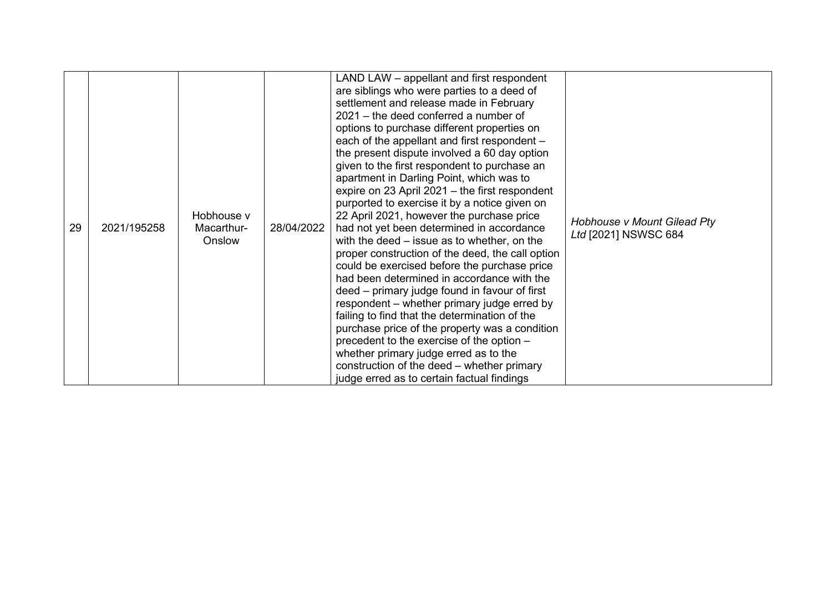| 29 | 2021/195258 | Hobhouse v<br>Macarthur-<br>Onslow | 28/04/2022 | LAND LAW - appellant and first respondent<br>are siblings who were parties to a deed of<br>settlement and release made in February<br>$2021 -$ the deed conferred a number of<br>options to purchase different properties on<br>each of the appellant and first respondent -<br>the present dispute involved a 60 day option<br>given to the first respondent to purchase an<br>apartment in Darling Point, which was to<br>expire on 23 April 2021 - the first respondent<br>purported to exercise it by a notice given on<br>22 April 2021, however the purchase price<br>had not yet been determined in accordance<br>with the deed – issue as to whether, on the<br>proper construction of the deed, the call option<br>could be exercised before the purchase price<br>had been determined in accordance with the<br>deed – primary judge found in favour of first<br>respondent – whether primary judge erred by<br>failing to find that the determination of the<br>purchase price of the property was a condition<br>precedent to the exercise of the option -<br>whether primary judge erred as to the<br>construction of the deed – whether primary<br>judge erred as to certain factual findings | Hobhouse v Mount Gilead Pty<br>Ltd [2021] NSWSC 684 |
|----|-------------|------------------------------------|------------|-------------------------------------------------------------------------------------------------------------------------------------------------------------------------------------------------------------------------------------------------------------------------------------------------------------------------------------------------------------------------------------------------------------------------------------------------------------------------------------------------------------------------------------------------------------------------------------------------------------------------------------------------------------------------------------------------------------------------------------------------------------------------------------------------------------------------------------------------------------------------------------------------------------------------------------------------------------------------------------------------------------------------------------------------------------------------------------------------------------------------------------------------------------------------------------------------------------|-----------------------------------------------------|
|----|-------------|------------------------------------|------------|-------------------------------------------------------------------------------------------------------------------------------------------------------------------------------------------------------------------------------------------------------------------------------------------------------------------------------------------------------------------------------------------------------------------------------------------------------------------------------------------------------------------------------------------------------------------------------------------------------------------------------------------------------------------------------------------------------------------------------------------------------------------------------------------------------------------------------------------------------------------------------------------------------------------------------------------------------------------------------------------------------------------------------------------------------------------------------------------------------------------------------------------------------------------------------------------------------------|-----------------------------------------------------|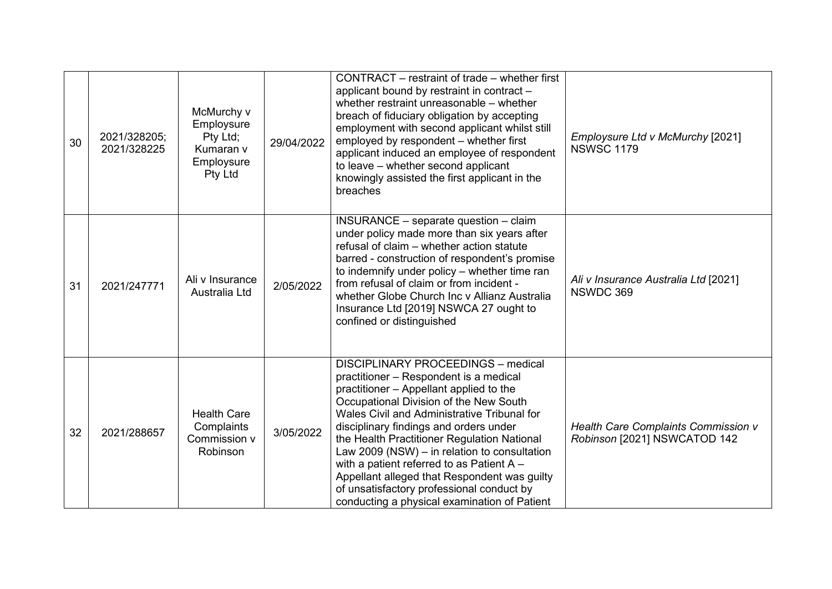| 30 | 2021/328205;<br>2021/328225 | McMurchy v<br>Employsure<br>Pty Ltd;<br>Kumaran v<br>Employsure<br>Pty Ltd | 29/04/2022 | CONTRACT – restraint of trade – whether first<br>applicant bound by restraint in contract -<br>whether restraint unreasonable – whether<br>breach of fiduciary obligation by accepting<br>employment with second applicant whilst still<br>employed by respondent - whether first<br>applicant induced an employee of respondent<br>to leave - whether second applicant<br>knowingly assisted the first applicant in the<br>breaches                                                                                                                  | Employsure Ltd v McMurchy [2021]<br><b>NSWSC 1179</b>               |
|----|-----------------------------|----------------------------------------------------------------------------|------------|-------------------------------------------------------------------------------------------------------------------------------------------------------------------------------------------------------------------------------------------------------------------------------------------------------------------------------------------------------------------------------------------------------------------------------------------------------------------------------------------------------------------------------------------------------|---------------------------------------------------------------------|
| 31 | 2021/247771                 | Ali v Insurance<br>Australia Ltd                                           | 2/05/2022  | INSURANCE - separate question - claim<br>under policy made more than six years after<br>refusal of claim - whether action statute<br>barred - construction of respondent's promise<br>to indemnify under policy - whether time ran<br>from refusal of claim or from incident -<br>whether Globe Church Inc v Allianz Australia<br>Insurance Ltd [2019] NSWCA 27 ought to<br>confined or distinguished                                                                                                                                                 | Ali v Insurance Australia Ltd [2021]<br>NSWDC 369                   |
| 32 | 2021/288657                 | <b>Health Care</b><br>Complaints<br>Commission v<br>Robinson               | 3/05/2022  | DISCIPLINARY PROCEEDINGS - medical<br>practitioner – Respondent is a medical<br>practitioner - Appellant applied to the<br>Occupational Division of the New South<br>Wales Civil and Administrative Tribunal for<br>disciplinary findings and orders under<br>the Health Practitioner Regulation National<br>Law 2009 (NSW) $-$ in relation to consultation<br>with a patient referred to as Patient A -<br>Appellant alleged that Respondent was guilty<br>of unsatisfactory professional conduct by<br>conducting a physical examination of Patient | Health Care Complaints Commission v<br>Robinson [2021] NSWCATOD 142 |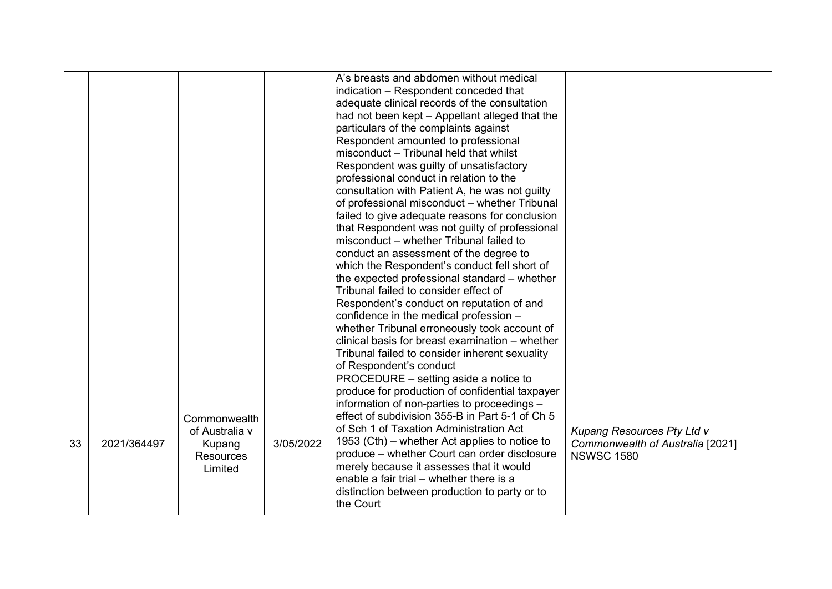|    |             |                                                                         |           | A's breasts and abdomen without medical<br>indication - Respondent conceded that<br>adequate clinical records of the consultation<br>had not been kept - Appellant alleged that the<br>particulars of the complaints against<br>Respondent amounted to professional<br>misconduct - Tribunal held that whilst<br>Respondent was guilty of unsatisfactory<br>professional conduct in relation to the<br>consultation with Patient A, he was not guilty<br>of professional misconduct - whether Tribunal<br>failed to give adequate reasons for conclusion<br>that Respondent was not guilty of professional<br>misconduct - whether Tribunal failed to<br>conduct an assessment of the degree to<br>which the Respondent's conduct fell short of<br>the expected professional standard - whether<br>Tribunal failed to consider effect of<br>Respondent's conduct on reputation of and<br>confidence in the medical profession -<br>whether Tribunal erroneously took account of<br>clinical basis for breast examination – whether<br>Tribunal failed to consider inherent sexuality<br>of Respondent's conduct |                                                                                     |
|----|-------------|-------------------------------------------------------------------------|-----------|-----------------------------------------------------------------------------------------------------------------------------------------------------------------------------------------------------------------------------------------------------------------------------------------------------------------------------------------------------------------------------------------------------------------------------------------------------------------------------------------------------------------------------------------------------------------------------------------------------------------------------------------------------------------------------------------------------------------------------------------------------------------------------------------------------------------------------------------------------------------------------------------------------------------------------------------------------------------------------------------------------------------------------------------------------------------------------------------------------------------|-------------------------------------------------------------------------------------|
| 33 | 2021/364497 | Commonwealth<br>of Australia v<br>Kupang<br><b>Resources</b><br>Limited | 3/05/2022 | PROCEDURE - setting aside a notice to<br>produce for production of confidential taxpayer<br>information of non-parties to proceedings -<br>effect of subdivision 355-B in Part 5-1 of Ch 5<br>of Sch 1 of Taxation Administration Act<br>1953 (Cth) – whether Act applies to notice to<br>produce – whether Court can order disclosure<br>merely because it assesses that it would<br>enable a fair trial – whether there is a<br>distinction between production to party or to<br>the Court                                                                                                                                                                                                                                                                                                                                                                                                                                                                                                                                                                                                                    | Kupang Resources Pty Ltd v<br>Commonwealth of Australia [2021]<br><b>NSWSC 1580</b> |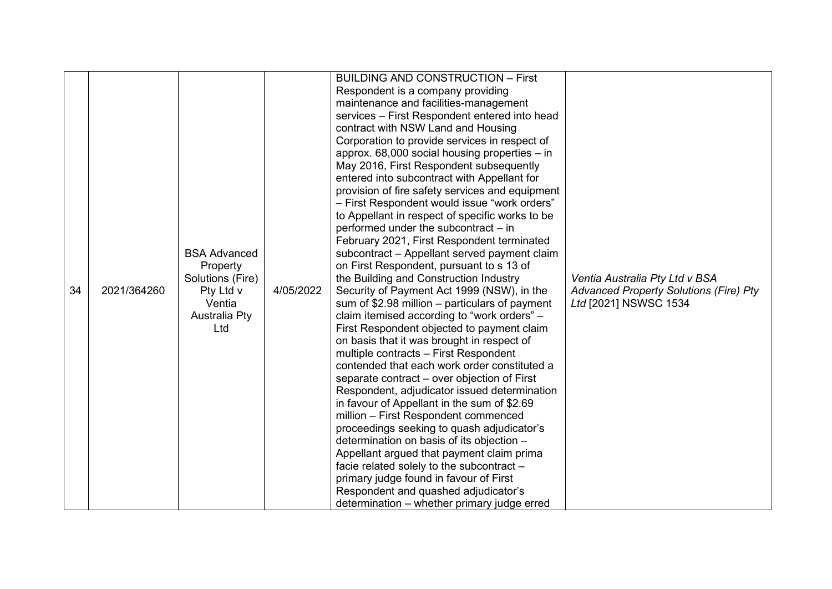|    |             |                      |           | <b>BUILDING AND CONSTRUCTION - First</b>                                               |                                               |
|----|-------------|----------------------|-----------|----------------------------------------------------------------------------------------|-----------------------------------------------|
|    |             |                      |           | Respondent is a company providing                                                      |                                               |
|    |             |                      |           | maintenance and facilities-management                                                  |                                               |
|    |             |                      |           | services - First Respondent entered into head                                          |                                               |
|    |             |                      |           | contract with NSW Land and Housing                                                     |                                               |
|    |             |                      |           | Corporation to provide services in respect of                                          |                                               |
|    |             |                      |           | approx. 68,000 social housing properties - in                                          |                                               |
|    |             |                      |           | May 2016, First Respondent subsequently                                                |                                               |
|    |             |                      |           | entered into subcontract with Appellant for                                            |                                               |
|    |             |                      |           | provision of fire safety services and equipment                                        |                                               |
|    |             |                      |           | - First Respondent would issue "work orders"                                           |                                               |
|    |             |                      |           | to Appellant in respect of specific works to be                                        |                                               |
|    |             |                      |           | performed under the subcontract - in                                                   |                                               |
|    |             |                      |           | February 2021, First Respondent terminated                                             |                                               |
|    |             | <b>BSA Advanced</b>  |           | subcontract - Appellant served payment claim                                           |                                               |
|    |             | Property             |           | on First Respondent, pursuant to s 13 of                                               |                                               |
|    |             | Solutions (Fire)     |           | the Building and Construction Industry                                                 | Ventia Australia Pty Ltd v BSA                |
| 34 | 2021/364260 | Pty Ltd v            | 4/05/2022 | Security of Payment Act 1999 (NSW), in the                                             | <b>Advanced Property Solutions (Fire) Pty</b> |
|    |             | Ventia               |           | sum of $$2.98$ million – particulars of payment                                        | Ltd [2021] NSWSC 1534                         |
|    |             | <b>Australia Pty</b> |           | claim itemised according to "work orders" -                                            |                                               |
|    |             | Ltd                  |           | First Respondent objected to payment claim                                             |                                               |
|    |             |                      |           | on basis that it was brought in respect of                                             |                                               |
|    |             |                      |           | multiple contracts - First Respondent                                                  |                                               |
|    |             |                      |           | contended that each work order constituted a                                           |                                               |
|    |             |                      |           | separate contract – over objection of First                                            |                                               |
|    |             |                      |           | Respondent, adjudicator issued determination                                           |                                               |
|    |             |                      |           | in favour of Appellant in the sum of \$2.69                                            |                                               |
|    |             |                      |           | million - First Respondent commenced                                                   |                                               |
|    |             |                      |           | proceedings seeking to quash adjudicator's                                             |                                               |
|    |             |                      |           | determination on basis of its objection -<br>Appellant argued that payment claim prima |                                               |
|    |             |                      |           | facie related solely to the subcontract -                                              |                                               |
|    |             |                      |           | primary judge found in favour of First                                                 |                                               |
|    |             |                      |           | Respondent and quashed adjudicator's                                                   |                                               |
|    |             |                      |           | determination - whether primary judge erred                                            |                                               |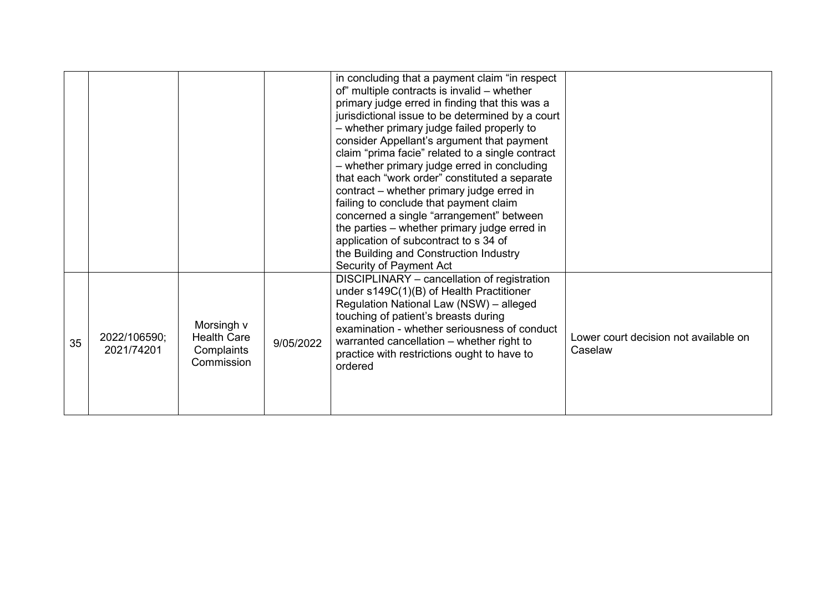|    |                            |                                                              |           | in concluding that a payment claim "in respect<br>of" multiple contracts is invalid - whether<br>primary judge erred in finding that this was a<br>jurisdictional issue to be determined by a court<br>- whether primary judge failed properly to<br>consider Appellant's argument that payment<br>claim "prima facie" related to a single contract<br>- whether primary judge erred in concluding<br>that each "work order" constituted a separate<br>contract – whether primary judge erred in<br>failing to conclude that payment claim<br>concerned a single "arrangement" between<br>the parties - whether primary judge erred in<br>application of subcontract to s 34 of<br>the Building and Construction Industry<br>Security of Payment Act |                                                  |
|----|----------------------------|--------------------------------------------------------------|-----------|------------------------------------------------------------------------------------------------------------------------------------------------------------------------------------------------------------------------------------------------------------------------------------------------------------------------------------------------------------------------------------------------------------------------------------------------------------------------------------------------------------------------------------------------------------------------------------------------------------------------------------------------------------------------------------------------------------------------------------------------------|--------------------------------------------------|
| 35 | 2022/106590;<br>2021/74201 | Morsingh v<br><b>Health Care</b><br>Complaints<br>Commission | 9/05/2022 | DISCIPLINARY - cancellation of registration<br>under s149C(1)(B) of Health Practitioner<br>Regulation National Law (NSW) - alleged<br>touching of patient's breasts during<br>examination - whether seriousness of conduct<br>warranted cancellation - whether right to<br>practice with restrictions ought to have to<br>ordered                                                                                                                                                                                                                                                                                                                                                                                                                    | Lower court decision not available on<br>Caselaw |